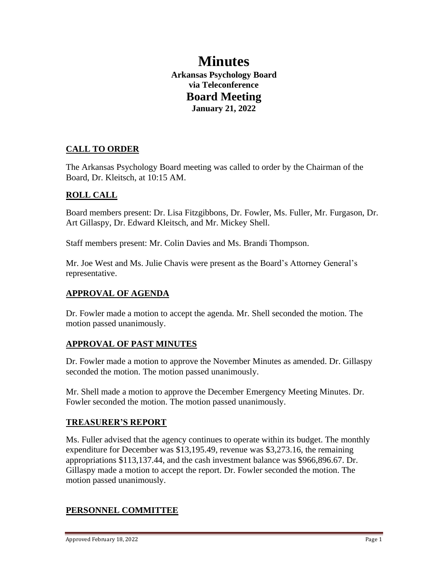# **Minutes Arkansas Psychology Board via Teleconference Board Meeting January 21, 2022**

# **CALL TO ORDER**

The Arkansas Psychology Board meeting was called to order by the Chairman of the Board, Dr. Kleitsch, at 10:15 AM.

# **ROLL CALL**

Board members present: Dr. Lisa Fitzgibbons, Dr. Fowler, Ms. Fuller, Mr. Furgason, Dr. Art Gillaspy, Dr. Edward Kleitsch, and Mr. Mickey Shell.

Staff members present: Mr. Colin Davies and Ms. Brandi Thompson.

Mr. Joe West and Ms. Julie Chavis were present as the Board's Attorney General's representative.

### **APPROVAL OF AGENDA**

Dr. Fowler made a motion to accept the agenda. Mr. Shell seconded the motion. The motion passed unanimously.

# **APPROVAL OF PAST MINUTES**

Dr. Fowler made a motion to approve the November Minutes as amended. Dr. Gillaspy seconded the motion. The motion passed unanimously.

Mr. Shell made a motion to approve the December Emergency Meeting Minutes. Dr. Fowler seconded the motion. The motion passed unanimously.

### **TREASURER'S REPORT**

Ms. Fuller advised that the agency continues to operate within its budget. The monthly expenditure for December was \$13,195.49, revenue was \$3,273.16, the remaining appropriations \$113,137.44, and the cash investment balance was \$966,896.67. Dr. Gillaspy made a motion to accept the report. Dr. Fowler seconded the motion. The motion passed unanimously.

# **PERSONNEL COMMITTEE**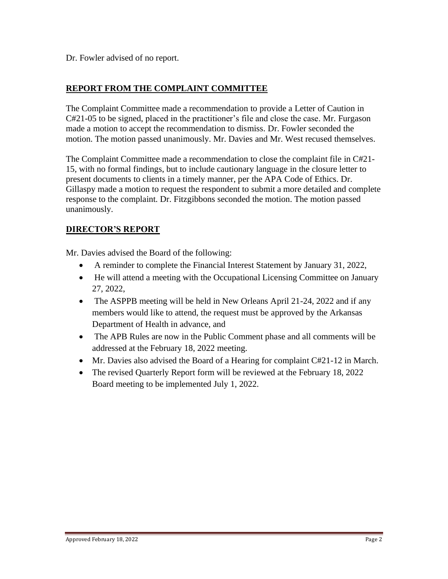Dr. Fowler advised of no report.

# **REPORT FROM THE COMPLAINT COMMITTEE**

The Complaint Committee made a recommendation to provide a Letter of Caution in C#21-05 to be signed, placed in the practitioner's file and close the case. Mr. Furgason made a motion to accept the recommendation to dismiss. Dr. Fowler seconded the motion. The motion passed unanimously. Mr. Davies and Mr. West recused themselves.

The Complaint Committee made a recommendation to close the complaint file in C#21- 15, with no formal findings, but to include cautionary language in the closure letter to present documents to clients in a timely manner, per the APA Code of Ethics. Dr. Gillaspy made a motion to request the respondent to submit a more detailed and complete response to the complaint. Dr. Fitzgibbons seconded the motion. The motion passed unanimously.

# **DIRECTOR'S REPORT**

Mr. Davies advised the Board of the following:

- A reminder to complete the Financial Interest Statement by January 31, 2022,
- He will attend a meeting with the Occupational Licensing Committee on January 27, 2022,
- The ASPPB meeting will be held in New Orleans April 21-24, 2022 and if any members would like to attend, the request must be approved by the Arkansas Department of Health in advance, and
- The APB Rules are now in the Public Comment phase and all comments will be addressed at the February 18, 2022 meeting.
- Mr. Davies also advised the Board of a Hearing for complaint C#21-12 in March.
- The revised Quarterly Report form will be reviewed at the February 18, 2022 Board meeting to be implemented July 1, 2022.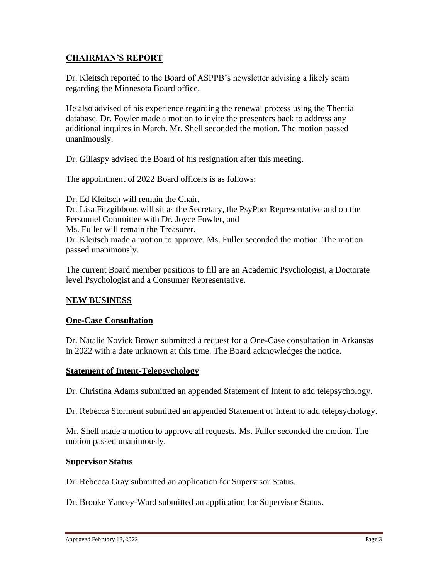### **CHAIRMAN'S REPORT**

Dr. Kleitsch reported to the Board of ASPPB's newsletter advising a likely scam regarding the Minnesota Board office.

He also advised of his experience regarding the renewal process using the Thentia database. Dr. Fowler made a motion to invite the presenters back to address any additional inquires in March. Mr. Shell seconded the motion. The motion passed unanimously.

Dr. Gillaspy advised the Board of his resignation after this meeting.

The appointment of 2022 Board officers is as follows:

Dr. Ed Kleitsch will remain the Chair, Dr. Lisa Fitzgibbons will sit as the Secretary, the PsyPact Representative and on the Personnel Committee with Dr. Joyce Fowler, and Ms. Fuller will remain the Treasurer. Dr. Kleitsch made a motion to approve. Ms. Fuller seconded the motion. The motion passed unanimously.

The current Board member positions to fill are an Academic Psychologist, a Doctorate level Psychologist and a Consumer Representative.

#### **NEW BUSINESS**

#### **One-Case Consultation**

Dr. Natalie Novick Brown submitted a request for a One-Case consultation in Arkansas in 2022 with a date unknown at this time. The Board acknowledges the notice.

#### **Statement of Intent-Telepsychology**

Dr. Christina Adams submitted an appended Statement of Intent to add telepsychology.

Dr. Rebecca Storment submitted an appended Statement of Intent to add telepsychology.

Mr. Shell made a motion to approve all requests. Ms. Fuller seconded the motion. The motion passed unanimously.

#### **Supervisor Status**

Dr. Rebecca Gray submitted an application for Supervisor Status.

Dr. Brooke Yancey-Ward submitted an application for Supervisor Status.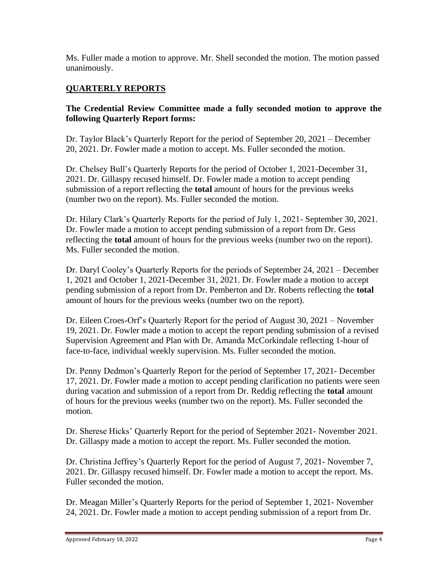Ms. Fuller made a motion to approve. Mr. Shell seconded the motion. The motion passed unanimously.

# **QUARTERLY REPORTS**

# **The Credential Review Committee made a fully seconded motion to approve the following Quarterly Report forms:**

Dr. Taylor Black's Quarterly Report for the period of September 20, 2021 – December 20, 2021. Dr. Fowler made a motion to accept. Ms. Fuller seconded the motion.

Dr. Chelsey Bull's Quarterly Reports for the period of October 1, 2021-December 31, 2021. Dr. Gillaspy recused himself. Dr. Fowler made a motion to accept pending submission of a report reflecting the **total** amount of hours for the previous weeks (number two on the report). Ms. Fuller seconded the motion.

Dr. Hilary Clark's Quarterly Reports for the period of July 1, 2021- September 30, 2021. Dr. Fowler made a motion to accept pending submission of a report from Dr. Gess reflecting the **total** amount of hours for the previous weeks (number two on the report). Ms. Fuller seconded the motion.

Dr. Daryl Cooley's Quarterly Reports for the periods of September 24, 2021 – December 1, 2021 and October 1, 2021-December 31, 2021. Dr. Fowler made a motion to accept pending submission of a report from Dr. Pemberton and Dr. Roberts reflecting the **total** amount of hours for the previous weeks (number two on the report).

Dr. Eileen Croes-Orf's Quarterly Report for the period of August 30, 2021 – November 19, 2021. Dr. Fowler made a motion to accept the report pending submission of a revised Supervision Agreement and Plan with Dr. Amanda McCorkindale reflecting 1-hour of face-to-face, individual weekly supervision. Ms. Fuller seconded the motion.

Dr. Penny Dedmon's Quarterly Report for the period of September 17, 2021- December 17, 2021. Dr. Fowler made a motion to accept pending clarification no patients were seen during vacation and submission of a report from Dr. Reddig reflecting the **total** amount of hours for the previous weeks (number two on the report). Ms. Fuller seconded the motion.

Dr. Sherese Hicks' Quarterly Report for the period of September 2021- November 2021. Dr. Gillaspy made a motion to accept the report. Ms. Fuller seconded the motion.

Dr. Christina Jeffrey's Quarterly Report for the period of August 7, 2021- November 7, 2021. Dr. Gillaspy recused himself. Dr. Fowler made a motion to accept the report. Ms. Fuller seconded the motion.

Dr. Meagan Miller's Quarterly Reports for the period of September 1, 2021- November 24, 2021. Dr. Fowler made a motion to accept pending submission of a report from Dr.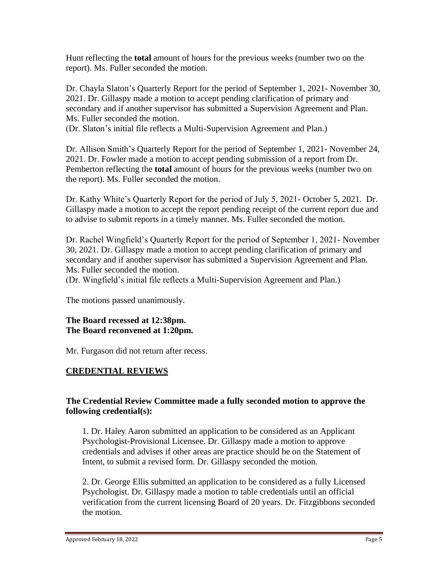Hunt reflecting the **total** amount of hours for the previous weeks (number two on the report). Ms. Fuller seconded the motion.

Dr. Chayla Slaton's Quarterly Report for the period of September 1, 2021- November 30, 2021. Dr. Gillaspy made a motion to accept pending clarification of primary and secondary and if another supervisor has submitted a Supervision Agreement and Plan. Ms. Fuller seconded the motion.

(Dr. Slaton's initial file reflects a Multi-Supervision Agreement and Plan.)

Dr. Allison Smith's Quarterly Report for the period of September 1, 2021- November 24, 2021. Dr. Fowler made a motion to accept pending submission of a report from Dr. Pemberton reflecting the **total** amount of hours for the previous weeks (number two on the report). Ms. Fuller seconded the motion.

Dr. Kathy White's Quarterly Report for the period of July 5, 2021- October 5, 2021. Dr. Gillaspy made a motion to accept the report pending receipt of the current report due and to advise to submit reports in a timely manner. Ms. Fuller seconded the motion.

Dr. Rachel Wingfield's Quarterly Report for the period of September 1, 2021- November 30, 2021. Dr. Gillaspy made a motion to accept pending clarification of primary and secondary and if another supervisor has submitted a Supervision Agreement and Plan. Ms. Fuller seconded the motion.

(Dr. Wingfield's initial file reflects a Multi-Supervision Agreement and Plan.)

The motions passed unanimously.

#### **The Board recessed at 12:38pm. The Board reconvened at 1:20pm.**

Mr. Furgason did not return after recess.

#### **CREDENTIAL REVIEWS**

#### **The Credential Review Committee made a fully seconded motion to approve the following credential(s):**

1. Dr. Haley Aaron submitted an application to be considered as an Applicant Psychologist-Provisional Licensee. Dr. Gillaspy made a motion to approve credentials and advises if other areas are practice should be on the Statement of Intent, to submit a revised form. Dr. Gillaspy seconded the motion.

2. Dr. George Ellis submitted an application to be considered as a fully Licensed Psychologist. Dr. Gillaspy made a motion to table credentials until an official verification from the current licensing Board of 20 years. Dr. Fitzgibbons seconded the motion.